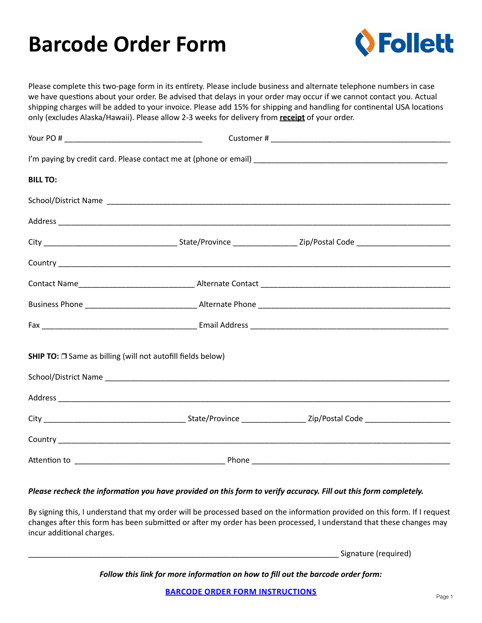## **Barcode Order Form**



Please complete this two-page form in its entirety. Please include business and alternate telephone numbers in case we have questions about your order. Be advised that delays in your order may occur if we cannot contact you. Actual shipping charges will be added to your invoice. Please add 15% for shipping and handling for continental USA locations only (excludes Alaska/Hawaii). Please allow 2-3 weeks for delivery from **receipt** of your order.

| <b>BILL TO:</b>                                             |  |
|-------------------------------------------------------------|--|
|                                                             |  |
|                                                             |  |
|                                                             |  |
|                                                             |  |
|                                                             |  |
|                                                             |  |
|                                                             |  |
| SHIP TO: □ Same as billing (will not autofill fields below) |  |
|                                                             |  |
|                                                             |  |
|                                                             |  |
|                                                             |  |
|                                                             |  |

## *Please recheck the information you have provided on this form to verify accuracy. Fill out this form completely.*

By signing this, I understand that my order will be processed based on the information provided on this form. If I request changes after this form has been submitted or after my order has been processed, I understand that these changes may incur additional charges.

Signature (required)

*Follow this link for more information on how to fill out the barcode order form:*